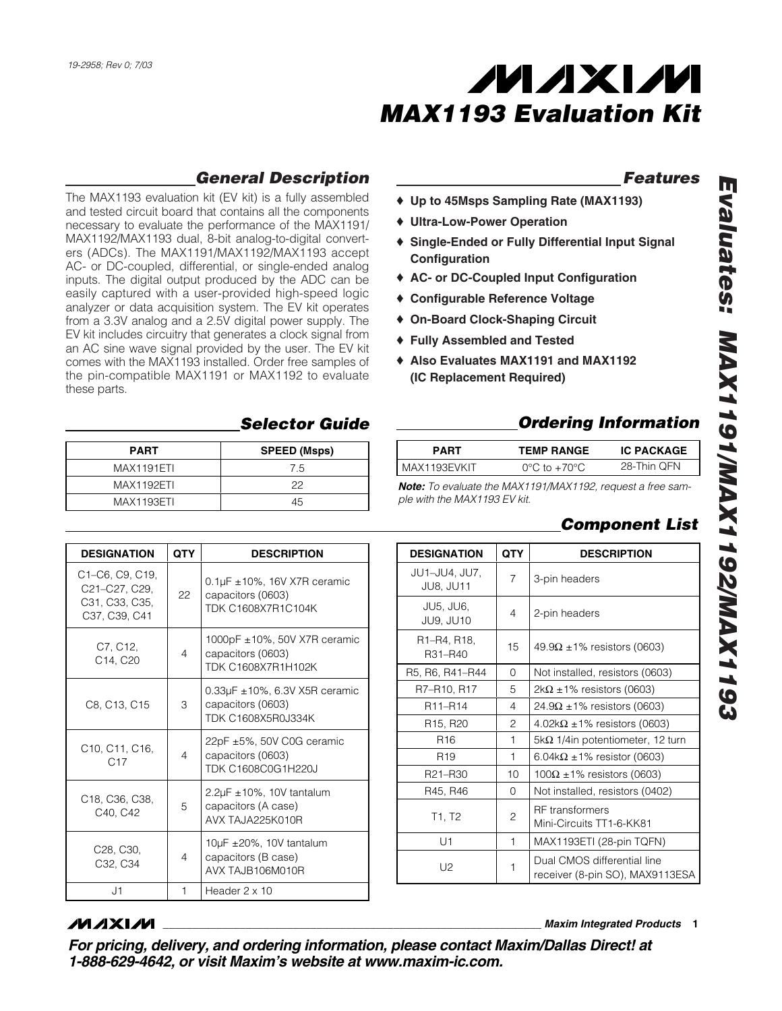

### *Features*

- ♦ **Up to 45Msps Sampling Rate (MAX1193)**
- ♦ **Ultra-Low-Power Operation**
- ♦ **Single-Ended or Fully Differential Input Signal Configuration**
- ♦ **AC- or DC-Coupled Input Configuration**
- ♦ **Configurable Reference Voltage**
- ♦ **On-Board Clock-Shaping Circuit**
- ♦ **Fully Assembled and Tested**
- ♦ **Also Evaluates MAX1191 and MAX1192 (IC Replacement Required)**

### *Ordering Information*

| <b>PART</b>  | <b>TEMP RANGE</b>                 | <b>IC PACKAGE</b> |
|--------------|-----------------------------------|-------------------|
| MAX1193EVKIT | $0^{\circ}$ C to +70 $^{\circ}$ C | 28-Thin OFN       |
|              |                                   |                   |

*Note: To evaluate the MAX1191/MAX1192, request a free sample with the MAX1193 EV kit.*

|  |  | <b>Component List</b> |  |
|--|--|-----------------------|--|
|--|--|-----------------------|--|

## **DESIGNATION QTY DESCRIPTION** JU1–JU4, JU7,  $JU$ 94, JO $'$ ,  $JU$ <sub>,</sub>  $J$  3-pin headers JU5, JU6,  $JU9, JU10$   $4$   $2$ -pin headers R1–R4, R18,  $R31 - R40$  15 49.9Ω ±1% resistors (0603) R5, R6, R41–R44 | 0 | Not installed, resistors (0603) R7–R10, R17  $\begin{vmatrix} 5 & 2kΩ ±1% \end{vmatrix}$  resistors (0603)

| R <sub>11</sub> -R <sub>14</sub>  | 4            | $24.9\Omega \pm 1\%$ resistors (0603)                          |  |  |
|-----------------------------------|--------------|----------------------------------------------------------------|--|--|
| R <sub>15</sub> , R <sub>20</sub> | 2            | $4.02\mathrm{k}\Omega \pm 1\%$ resistors (0603)                |  |  |
| R <sub>16</sub>                   | 1            | $5k\Omega$ 1/4in potentiometer, 12 turn                        |  |  |
| R <sub>19</sub>                   | 1            | 6.04k $\Omega$ ±1% resistor (0603)                             |  |  |
| R21-R30                           | 10           | $100\Omega$ ±1% resistors (0603)                               |  |  |
| R45, R46                          | $\mathbf 0$  | Not installed, resistors (0402)                                |  |  |
| T1, T2                            | $\mathbf{2}$ | <b>RF</b> transformers<br>Mini-Circuits TT1-6-KK81             |  |  |
| U1                                | 1            | MAX1193ETI (28-pin TQFN)                                       |  |  |
| U2                                | 1            | Dual CMOS differential line<br>receiver (8-pin SO), MAX9113ESA |  |  |

## *General Description*

The MAX1193 evaluation kit (EV kit) is a fully assembled and tested circuit board that contains all the components necessary to evaluate the performance of the MAX1191/ MAX1192/MAX1193 dual, 8-bit analog-to-digital converters (ADCs). The MAX1191/MAX1192/MAX1193 accept AC- or DC-coupled, differential, or single-ended analog inputs. The digital output produced by the ADC can be easily captured with a user-provided high-speed logic analyzer or data acquisition system. The EV kit operates from a 3.3V analog and a 2.5V digital power supply. The EV kit includes circuitry that generates a clock signal from an AC sine wave signal provided by the user. The EV kit comes with the MAX1193 installed. Order free samples of the pin-compatible MAX1191 or MAX1192 to evaluate these parts.

### *Selector Guide*

| <b>PART</b> | <b>SPEED (Msps)</b> |
|-------------|---------------------|
| MAX1191ETI  | 7.5                 |
| MAX1192ETI  | つつ                  |
| MAX1193ETI  | 45                  |

| <b>DESIGNATION</b>                                                       | <b>QTY</b>     | <b>DESCRIPTION</b>                                                                        |
|--------------------------------------------------------------------------|----------------|-------------------------------------------------------------------------------------------|
| C1–C6, C9, C19,<br>C21-C27, C29,<br>C31, C33, C35,<br>C37, C39, C41      | 22             | $0.1 \mu$ F ± 10%, 16V X7R ceramic<br>capacitors (0603)<br>TDK C1608X7R1C104K             |
| C7, C12,<br>C14, C20                                                     | $\overline{4}$ | 1000pF ±10%, 50V X7R ceramic<br>capacitors (0603)<br>TDK C1608X7R1H102K                   |
| C8, C13, C15                                                             | 3              | $0.33\mu$ F $\pm$ 10%, 6.3V X5R ceramic<br>capacitors (0603)<br><b>TDK C1608X5R0J334K</b> |
| C <sub>10</sub> , C <sub>11</sub> , C <sub>16</sub> ,<br>C <sub>17</sub> | $\overline{4}$ | 22pF ±5%, 50V C0G ceramic<br>capacitors (0603)<br>TDK C1608C0G1H220J                      |
| C18, C36, C38,<br>C40, C42                                               | 5              | $2.2\mu$ F $\pm$ 10%, 10V tantalum<br>capacitors (A case)<br>AVX TAJA225K010R             |
| C <sub>28</sub> , C <sub>30</sub> ,<br>C32, C34                          | $\overline{4}$ | $10\mu$ F ±20%, 10V tantalum<br>capacitors (B case)<br>AVX TAJB106M010R                   |
| J1                                                                       | 1              | Header $2 \times 10$                                                                      |

### *MAXM*

**\_\_\_\_\_\_\_\_\_\_\_\_\_\_\_\_\_\_\_\_\_\_\_\_\_\_\_\_\_\_\_\_\_\_\_\_\_\_\_\_\_\_\_\_\_\_\_\_\_\_\_\_\_\_\_\_\_\_\_\_\_\_\_\_** *Maxim Integrated Products* **1**

*For pricing, delivery, and ordering information, please contact Maxim/Dallas Direct! at 1-888-629-4642, or visit Maxim's website at www.maxim-ic.com.*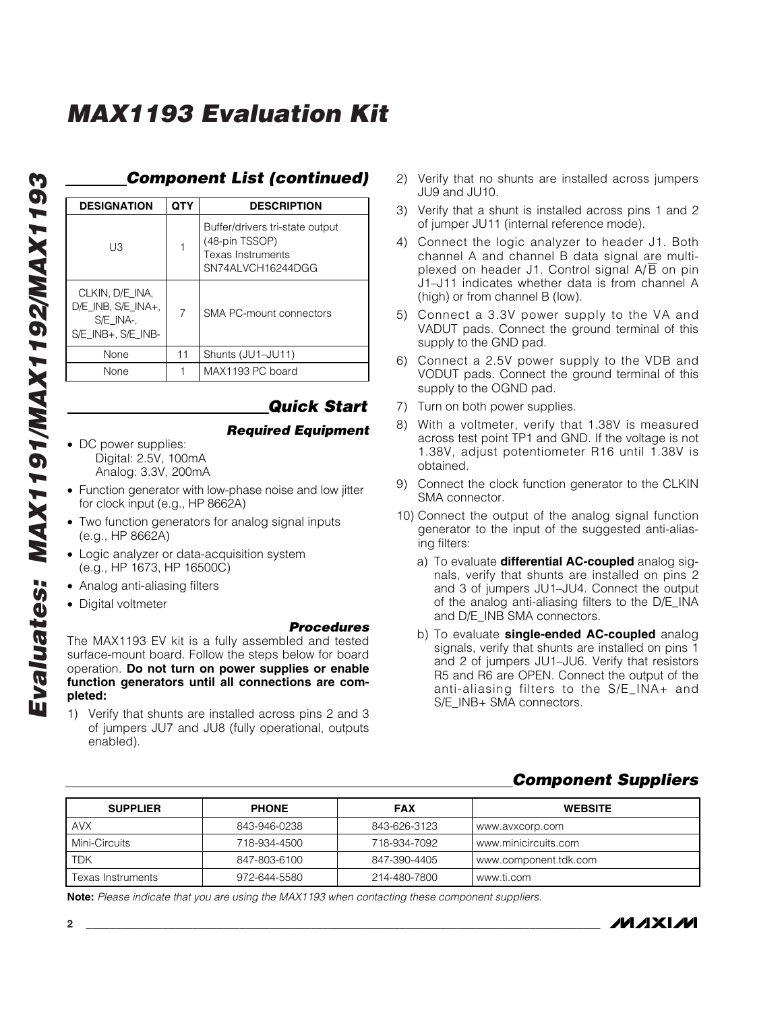| <b>DESIGNATION</b>                                                               | QTY            | <b>DESCRIPTION</b>                                                                                 |
|----------------------------------------------------------------------------------|----------------|----------------------------------------------------------------------------------------------------|
| UЗ                                                                               |                | Buffer/drivers tri-state output<br>(48-pin TSSOP)<br><b>Texas Instruments</b><br>SN74ALVCH16244DGG |
| CLKIN, D/E INA,<br>$D/E$ INB, $S/E$ INA+,<br>S/E INA-.<br>$S/E$ INB+, $S/E$ INB- | $\overline{7}$ | SMA PC-mount connectors                                                                            |
| None                                                                             | 11             | Shunts (JU1-JU11)                                                                                  |
| None                                                                             |                | MAX1193 PC board                                                                                   |

## *Component List (continued)*

### *Quick Start*

- *Required Equipment*
- DC power supplies: Digital: 2.5V, 100mA Analog: 3.3V, 200mA
- Function generator with low-phase noise and low jitter for clock input (e.g., HP 8662A)
- Two function generators for analog signal inputs (e.g., HP 8662A)
- Logic analyzer or data-acquisition system (e.g., HP 1673, HP 16500C)
- Analog anti-aliasing filters
- Digital voltmeter

### *Procedures*

The MAX1193 EV kit is a fully assembled and tested surface-mount board. Follow the steps below for board operation. **Do not turn on power supplies or enable function generators until all connections are completed:**

1) Verify that shunts are installed across pins 2 and 3 of jumpers JU7 and JU8 (fully operational, outputs enabled).

- 2) Verify that no shunts are installed across jumpers JU9 and JU10.
- 3) Verify that a shunt is installed across pins 1 and 2 of jumper JU11 (internal reference mode).
- 4) Connect the logic analyzer to header J1. Both channel A and channel B data signal are multiplexed on header J1. Control signal  $A/\overline{B}$  on pin J1–J11 indicates whether data is from channel A (high) or from channel B (low).
- 5) Connect a 3.3V power supply to the VA and VADUT pads. Connect the ground terminal of this supply to the GND pad.
- 6) Connect a 2.5V power supply to the VDB and VODUT pads. Connect the ground terminal of this supply to the OGND pad.
- 7) Turn on both power supplies.
- 8) With a voltmeter, verify that 1.38V is measured across test point TP1 and GND. If the voltage is not 1.38V, adjust potentiometer R16 until 1.38V is obtained.
- 9) Connect the clock function generator to the CLKIN SMA connector.
- 10) Connect the output of the analog signal function generator to the input of the suggested anti-aliasing filters:
	- a) To evaluate **differential AC-coupled** analog signals, verify that shunts are installed on pins 2 and 3 of jumpers JU1–JU4. Connect the output of the analog anti-aliasing filters to the D/E\_INA and D/E\_INB SMA connectors.
	- b) To evaluate **single-ended AC-coupled** analog signals, verify that shunts are installed on pins 1 and 2 of jumpers JU1–JU6. Verify that resistors R5 and R6 are OPEN. Connect the output of the anti-aliasing filters to the S/E\_INA+ and S/E\_INB+ SMA connectors.

### *Component Suppliers*

| <b>SUPPLIER</b>   | <b>PHONE</b> | <b>FAX</b>   | <b>WEBSITE</b>        |
|-------------------|--------------|--------------|-----------------------|
| <b>AVX</b>        | 843-946-0238 | 843-626-3123 | www.avxcorp.com       |
| Mini-Circuits     | 718-934-4500 | 718-934-7092 | www.minicircuits.com  |
| <b>TDK</b>        | 847-803-6100 | 847-390-4405 | www.component.tdk.com |
| Texas Instruments | 972-644-5580 | 214-480-7800 | www.ti.com            |

**Note:** *Please indicate that you are using the MAX1193 when contacting these component suppliers.*

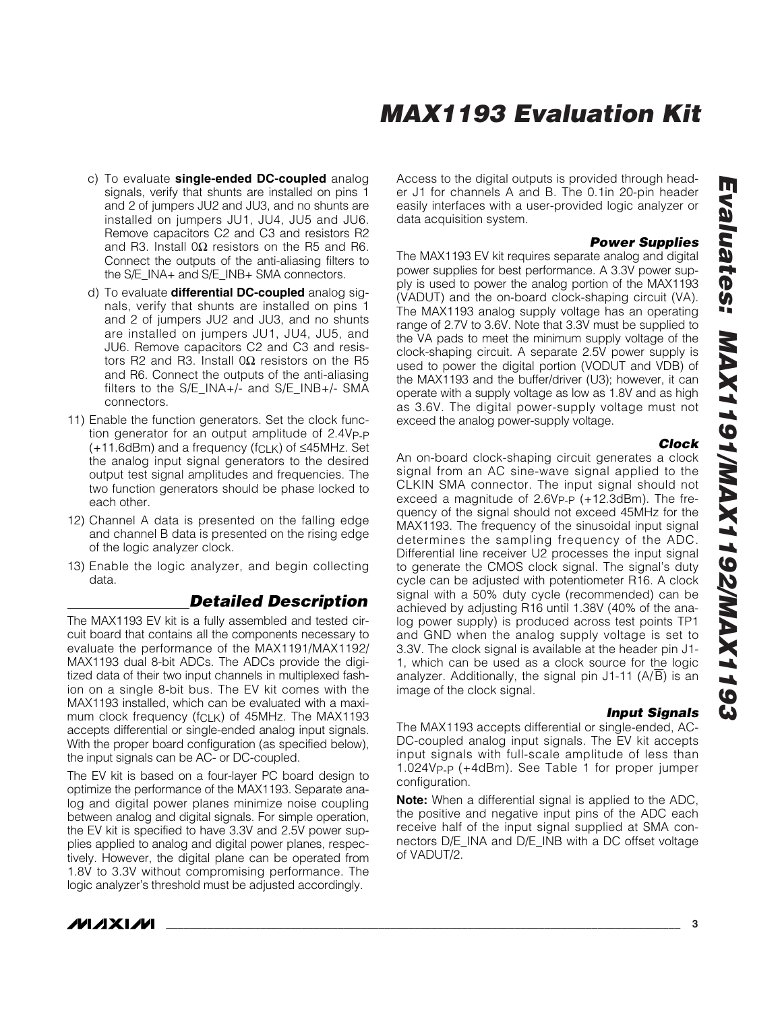- c) To evaluate **single-ended DC-coupled** analog signals, verify that shunts are installed on pins 1 and 2 of jumpers JU2 and JU3, and no shunts are installed on jumpers JU1, JU4, JU5 and JU6. Remove capacitors C2 and C3 and resistors R2 and R3. Install 0Ω resistors on the R5 and R6. Connect the outputs of the anti-aliasing filters to the S/E\_INA+ and S/E\_INB+ SMA connectors.
- d) To evaluate **differential DC-coupled** analog signals, verify that shunts are installed on pins 1 and 2 of jumpers JU2 and JU3, and no shunts are installed on jumpers JU1, JU4, JU5, and JU6. Remove capacitors C2 and C3 and resistors R2 and R3. Install 0Ω resistors on the R5 and R6. Connect the outputs of the anti-aliasing filters to the S/E\_INA+/- and S/E\_INB+/- SMA connectors.
- 11) Enable the function generators. Set the clock function generator for an output amplitude of 2.4VP-P  $(+11.6$ dBm) and a frequency ( $fCLK$ ) of  $\leq$ 45MHz. Set the analog input signal generators to the desired output test signal amplitudes and frequencies. The two function generators should be phase locked to each other.
- 12) Channel A data is presented on the falling edge and channel B data is presented on the rising edge of the logic analyzer clock.
- 13) Enable the logic analyzer, and begin collecting data.

### *Detailed Description*

The MAX1193 EV kit is a fully assembled and tested circuit board that contains all the components necessary to evaluate the performance of the MAX1191/MAX1192/ MAX1193 dual 8-bit ADCs. The ADCs provide the digitized data of their two input channels in multiplexed fashion on a single 8-bit bus. The EV kit comes with the MAX1193 installed, which can be evaluated with a maximum clock frequency (f<sub>CLK</sub>) of 45MHz. The MAX1193 accepts differential or single-ended analog input signals. With the proper board configuration (as specified below), the input signals can be AC- or DC-coupled.

The EV kit is based on a four-layer PC board design to optimize the performance of the MAX1193. Separate analog and digital power planes minimize noise coupling between analog and digital signals. For simple operation, the EV kit is specified to have 3.3V and 2.5V power supplies applied to analog and digital power planes, respectively. However, the digital plane can be operated from 1.8V to 3.3V without compromising performance. The logic analyzer's threshold must be adjusted accordingly.

Access to the digital outputs is provided through header J1 for channels A and B. The 0.1in 20-pin header easily interfaces with a user-provided logic analyzer or data acquisition system.

#### *Power Supplies*

The MAX1193 EV kit requires separate analog and digital power supplies for best performance. A 3.3V power supply is used to power the analog portion of the MAX1193 (VADUT) and the on-board clock-shaping circuit (VA). The MAX1193 analog supply voltage has an operating range of 2.7V to 3.6V. Note that 3.3V must be supplied to the VA pads to meet the minimum supply voltage of the clock-shaping circuit. A separate 2.5V power supply is used to power the digital portion (VODUT and VDB) of the MAX1193 and the buffer/driver (U3); however, it can operate with a supply voltage as low as 1.8V and as high as 3.6V. The digital power-supply voltage must not exceed the analog power-supply voltage.

#### *Clock*

An on-board clock-shaping circuit generates a clock signal from an AC sine-wave signal applied to the CLKIN SMA connector. The input signal should not exceed a magnitude of 2.6VP-P (+12.3dBm). The frequency of the signal should not exceed 45MHz for the MAX1193. The frequency of the sinusoidal input signal determines the sampling frequency of the ADC. Differential line receiver U2 processes the input signal to generate the CMOS clock signal. The signal's duty cycle can be adjusted with potentiometer R16. A clock signal with a 50% duty cycle (recommended) can be achieved by adjusting R16 until 1.38V (40% of the analog power supply) is produced across test points TP1 and GND when the analog supply voltage is set to 3.3V. The clock signal is available at the header pin J1- 1, which can be used as a clock source for the logic analyzer. Additionally, the signal pin J1-11 (A/B) is an image of the clock signal.

### *Input Signals*

The MAX1193 accepts differential or single-ended, AC-DC-coupled analog input signals. The EV kit accepts input signals with full-scale amplitude of less than 1.024VP-P (+4dBm). See Table 1 for proper jumper configuration.

**Note:** When a differential signal is applied to the ADC, the positive and negative input pins of the ADC each receive half of the input signal supplied at SMA connectors D/E\_INA and D/E\_INB with a DC offset voltage of VADUT/2.

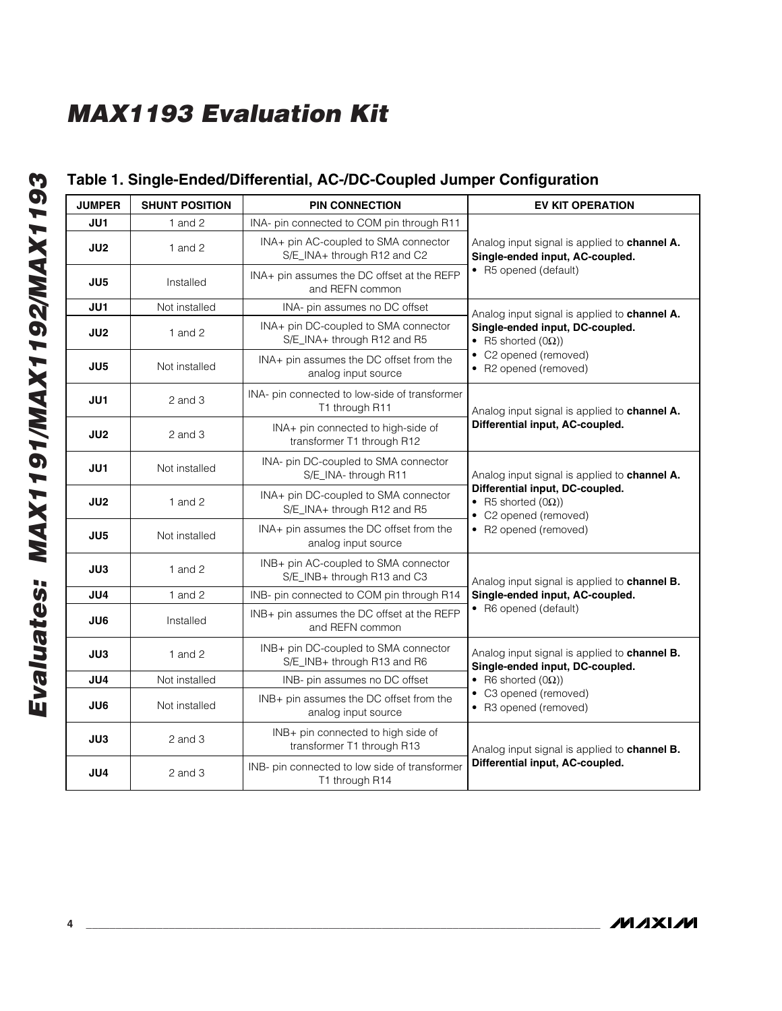## **Table 1. Single-Ended/Differential, AC-/DC-Coupled Jumper Configuration**

| <b>JUMPER</b> | <b>SHUNT POSITION</b> | <b>PIN CONNECTION</b>                                               | <b>EV KIT OPERATION</b>                                                                |  |
|---------------|-----------------------|---------------------------------------------------------------------|----------------------------------------------------------------------------------------|--|
| JU1           | 1 and $2$             | INA- pin connected to COM pin through R11                           |                                                                                        |  |
| JU2           | 1 and $2$             | INA+ pin AC-coupled to SMA connector<br>S/E_INA+ through R12 and C2 | Analog input signal is applied to channel A.<br>Single-ended input, AC-coupled.        |  |
| JU5           | Installed             | INA+ pin assumes the DC offset at the REFP<br>and REFN common       | • R5 opened (default)                                                                  |  |
| JU1           | Not installed         | INA- pin assumes no DC offset                                       | Analog input signal is applied to channel A.                                           |  |
| JU2           | 1 and $2$             | INA+ pin DC-coupled to SMA connector<br>S/E_INA+ through R12 and R5 | Single-ended input, DC-coupled.<br>• R5 shorted $(0\Omega)$ )                          |  |
| JU5           | Not installed         | INA+ pin assumes the DC offset from the<br>analog input source      | • C2 opened (removed)<br>• R2 opened (removed)                                         |  |
| JU1           | $2$ and $3$           | INA- pin connected to low-side of transformer<br>T1 through R11     | Analog input signal is applied to channel A.                                           |  |
| JU2           | $2$ and $3$           | INA+ pin connected to high-side of<br>transformer T1 through R12    | Differential input, AC-coupled.                                                        |  |
| JU1           | Not installed         | INA- pin DC-coupled to SMA connector<br>S/E_INA-through R11         | Analog input signal is applied to channel A.                                           |  |
| JU2           | 1 and $2$             | INA+ pin DC-coupled to SMA connector<br>S/E_INA+ through R12 and R5 | Differential input, DC-coupled.<br>• R5 shorted $(0\Omega)$ )<br>• C2 opened (removed) |  |
| JU5           | Not installed         | INA+ pin assumes the DC offset from the<br>analog input source      | • R2 opened (removed)                                                                  |  |
| JU3           | 1 and $2$             | INB+ pin AC-coupled to SMA connector<br>S/E_INB+ through R13 and C3 | Analog input signal is applied to channel B.                                           |  |
| JU4           | 1 and $2$             | INB- pin connected to COM pin through R14                           | Single-ended input, AC-coupled.                                                        |  |
| JU6           | Installed             | INB+ pin assumes the DC offset at the REFP<br>and REFN common       | • R6 opened (default)                                                                  |  |
| JU3           | 1 and $2$             | INB+ pin DC-coupled to SMA connector<br>S/E_INB+ through R13 and R6 | Analog input signal is applied to channel B.<br>Single-ended input, DC-coupled.        |  |
| JU4           | Not installed         | INB- pin assumes no DC offset                                       | • R6 shorted $(0\Omega)$ )                                                             |  |
| JU6           | Not installed         | INB+ pin assumes the DC offset from the<br>analog input source      | • C3 opened (removed)<br>• R3 opened (removed)                                         |  |
| JU3           | $2$ and $3$           | INB+ pin connected to high side of<br>transformer T1 through R13    | Analog input signal is applied to channel B.                                           |  |
| JU4           | $2$ and $3$           | INB- pin connected to low side of transformer<br>T1 through R14     | Differential input, AC-coupled.                                                        |  |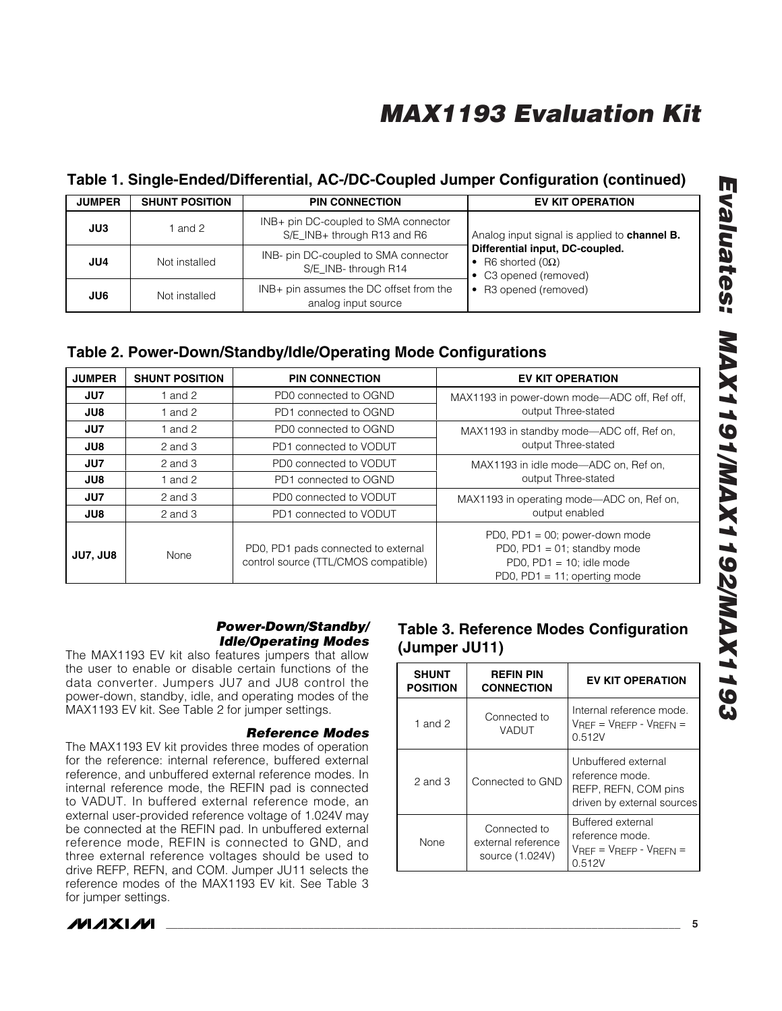### **Table 1. Single-Ended/Differential, AC-/DC-Coupled Jumper Configuration (continued)**

| <b>JUMPER</b> | <b>SHUNT POSITION</b> | <b>PIN CONNECTION</b>                                               | <b>EV KIT OPERATION</b>                                                              |
|---------------|-----------------------|---------------------------------------------------------------------|--------------------------------------------------------------------------------------|
| JU3           | 1 and 2               | INB+ pin DC-coupled to SMA connector<br>S/E_INB+ through R13 and R6 | Analog input signal is applied to channel B.                                         |
| JU4           | Not installed         | INB- pin DC-coupled to SMA connector<br>S/E INB-through R14         | Differential input, DC-coupled.<br>• R6 shorted $(0\Omega)$<br>• C3 opened (removed) |
| JU6           | Not installed         | INB+ pin assumes the DC offset from the<br>analog input source      | • R3 opened (removed)                                                                |

### **Table 2. Power-Down/Standby/Idle/Operating Mode Configurations**

| <b>JUMPER</b>   | <b>SHUNT POSITION</b> | <b>PIN CONNECTION</b>                                                       | <b>EV KIT OPERATION</b>                                                                                                            |  |  |  |
|-----------------|-----------------------|-----------------------------------------------------------------------------|------------------------------------------------------------------------------------------------------------------------------------|--|--|--|
| JU7             | 1 and $2$             | PD0 connected to OGND                                                       | MAX1193 in power-down mode—ADC off, Ref off,                                                                                       |  |  |  |
| JU8             | 1 and $2$             | PD1 connected to OGND                                                       | output Three-stated                                                                                                                |  |  |  |
| JU7             | 1 and $2$             | PD0 connected to OGND                                                       | MAX1193 in standby mode—ADC off, Ref on,                                                                                           |  |  |  |
| JU8             | $2$ and $3$           | PD1 connected to VODUT                                                      | output Three-stated                                                                                                                |  |  |  |
| JU7             | $2$ and $3$           | PD0 connected to VODUT                                                      | MAX1193 in idle mode-ADC on, Ref on,                                                                                               |  |  |  |
| JU8             | 1 and $2$             | PD1 connected to OGND                                                       | output Three-stated                                                                                                                |  |  |  |
| JU7             | $2$ and $3$           | PD0 connected to VODUT                                                      | MAX1193 in operating mode—ADC on, Ref on,                                                                                          |  |  |  |
| JU8             | $2$ and $3$           | PD1 connected to VODUT                                                      | output enabled                                                                                                                     |  |  |  |
| <b>JU7, JU8</b> | None                  | PD0, PD1 pads connected to external<br>control source (TTL/CMOS compatible) | PD0, PD1 = $00$ ; power-down mode<br>PD0, $PD1 = 01$ ; standby mode<br>PD0, PD1 = $10$ ; idle mode<br>PD0, PD1 = 11; operting mode |  |  |  |

### *Power-Down/Standby/ Idle/Operating Modes*

The MAX1193 EV kit also features jumpers that allow the user to enable or disable certain functions of the data converter. Jumpers JU7 and JU8 control the power-down, standby, idle, and operating modes of the MAX1193 EV kit. See Table 2 for jumper settings.

### *Reference Modes*

The MAX1193 EV kit provides three modes of operation for the reference: internal reference, buffered external reference, and unbuffered external reference modes. In internal reference mode, the REFIN pad is connected to VADUT. In buffered external reference mode, an external user-provided reference voltage of 1.024V may be connected at the REFIN pad. In unbuffered external reference mode, REFIN is connected to GND, and three external reference voltages should be used to drive REFP, REFN, and COM. Jumper JU11 selects the reference modes of the MAX1193 EV kit. See Table 3 for jumper settings.

## **Table 3. Reference Modes Configuration (Jumper JU11)**

| <b>SHUNT</b><br><b>POSITION</b> | <b>REFIN PIN</b><br><b>CONNECTION</b>                 | <b>EV KIT OPERATION</b>                                                                      |
|---------------------------------|-------------------------------------------------------|----------------------------------------------------------------------------------------------|
| 1 and 2                         | Connected to<br>VADUT                                 | Internal reference mode.<br>$V_{RFF} = V_{RFFP} - V_{RFFN} =$<br>0.512V                      |
| 2 and 3                         | Connected to GND                                      | Unbuffered external<br>reference mode.<br>REFP, REFN, COM pins<br>driven by external sources |
| <b>None</b>                     | Connected to<br>external reference<br>source (1.024V) | <b>Buffered external</b><br>reference mode.<br>$V$ RFF = $V$ RFFP - $V$ RFFN =<br>0.512V     |

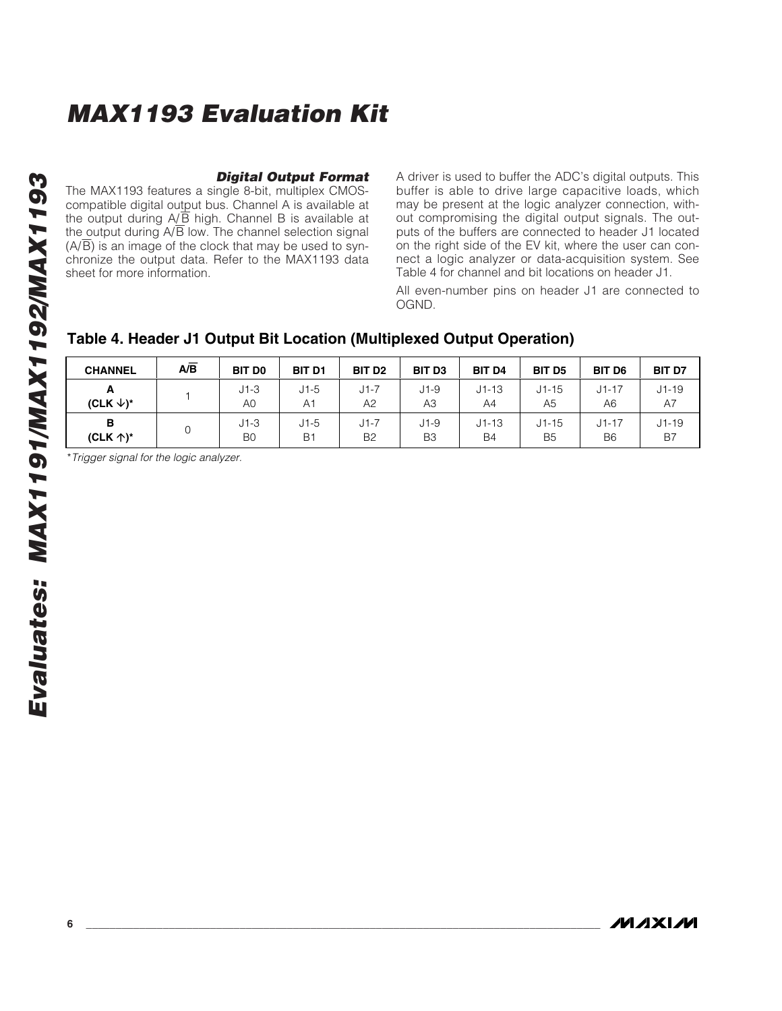*Digital Output Format* The MAX1193 features a single 8-bit, multiplex CMOScompatible digital output bus. Channel A is available at

the output during A/B high. Channel B is available at the output during  $A/\overline{B}$  low. The channel selection signal  $(A/\overline{B})$  is an image of the clock that may be used to synchronize the output data. Refer to the MAX1193 data sheet for more information.

A driver is used to buffer the ADC's digital outputs. This buffer is able to drive large capacitive loads, which may be present at the logic analyzer connection, without compromising the digital output signals. The outputs of the buffers are connected to header J1 located on the right side of the EV kit, where the user can connect a logic analyzer or data-acquisition system. See Table 4 for channel and bit locations on header J1.

All even-number pins on header J1 are connected to OGND.

## **Table 4. Header J1 Output Bit Location (Multiplexed Output Operation)**

| <b>CHANNEL</b>       | $A/\overline{B}$ | <b>BIT DO</b>  | <b>BIT D1</b>  | BIT D <sub>2</sub> | <b>BIT D3</b>  | <b>BIT D4</b> | <b>BIT D5</b> | BIT D6         | <b>BIT D7</b> |
|----------------------|------------------|----------------|----------------|--------------------|----------------|---------------|---------------|----------------|---------------|
| A                    |                  | $J1-3$         | $J1-5$         | $J1-7$             | $J1-9$         | $J1 - 13$     | $J1 - 15$     | $J1 - 17$      | $J1 - 19$     |
| (CLK $\downarrow$ )* |                  | A0             | A <sub>1</sub> | A2                 | AЗ             | A4            | A5            | A6             | A7            |
| в                    |                  | $J1-3$         | $J1-5$         | $J1-7$             | $J1-9$         | $J1 - 13$     | $J1 - 15$     | $J1 - 17$      | $J1 - 19$     |
| (CLK $\uparrow$ )*   |                  | B <sub>0</sub> | <b>B1</b>      | B <sub>2</sub>     | B <sub>3</sub> | <b>B4</b>     | <b>B5</b>     | B <sub>6</sub> | B7            |

\**Trigger signal for the logic analyzer.*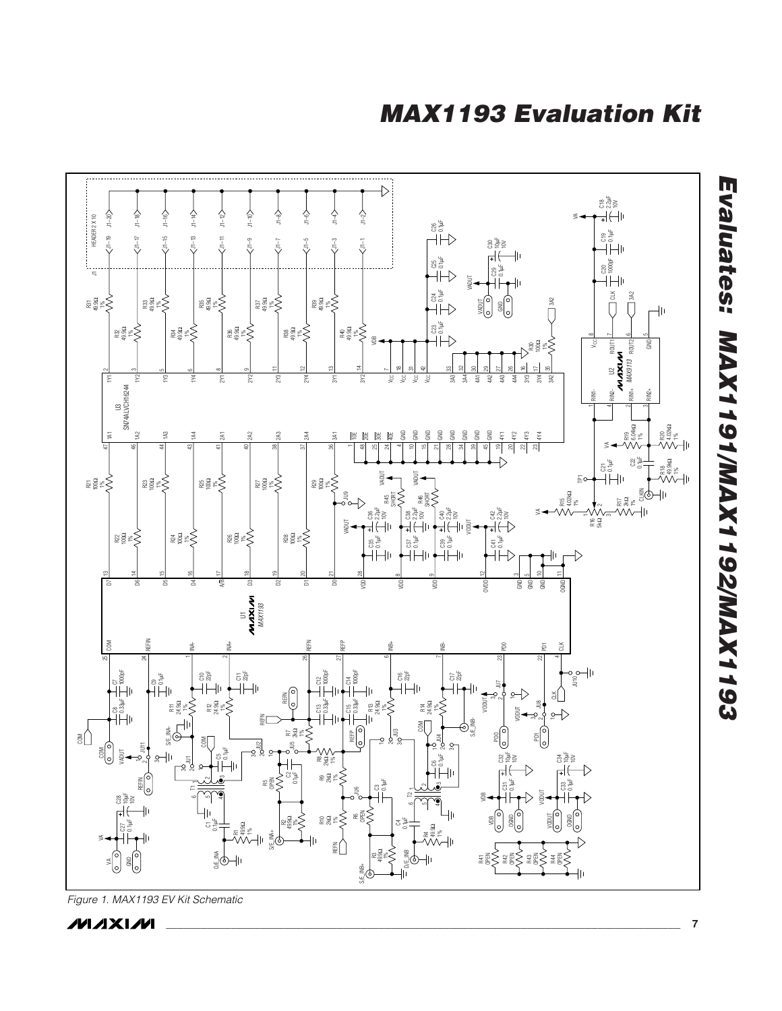

*Figure 1. MAX1193 EV Kit Schematic*

**MAXIW**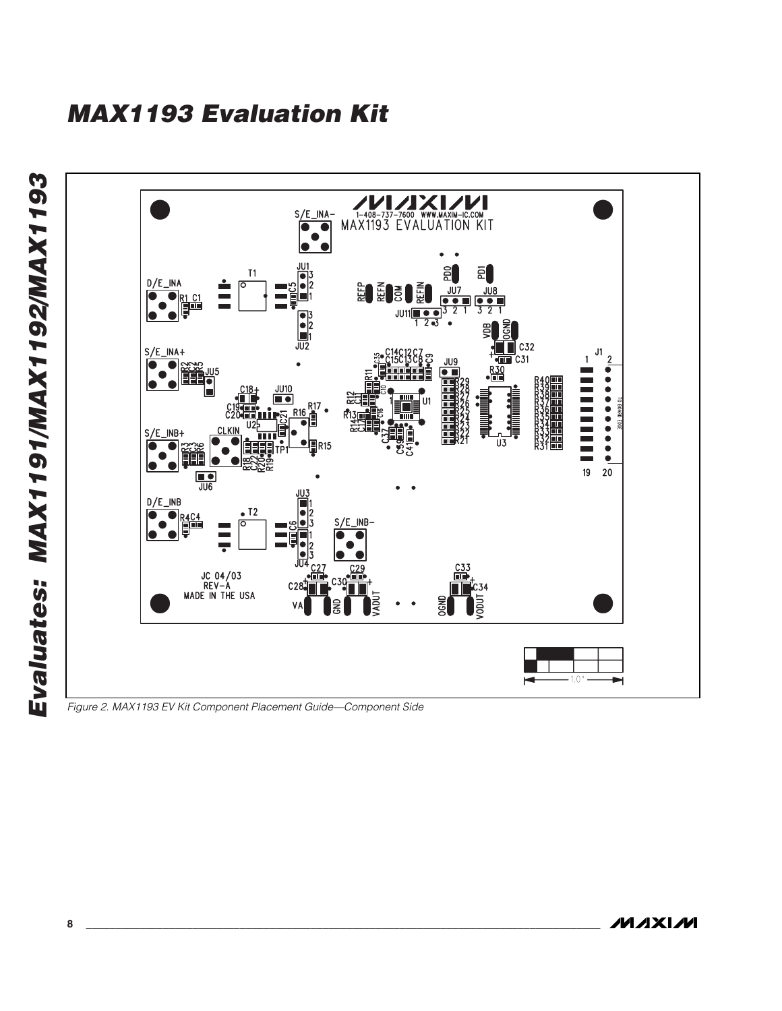Evaluates: MAX1191/MAX1192/MAX1193 *Evaluates: MAX1191/MAX1192/MAX1193* MAX1193 EVALUATION KIT  $\begin{picture}(180,10) \put(0,0){\line(1,0){10}} \put(15,0){\line(1,0){10}} \put(15,0){\line(1,0){10}} \put(15,0){\line(1,0){10}} \put(15,0){\line(1,0){10}} \put(15,0){\line(1,0){10}} \put(15,0){\line(1,0){10}} \put(15,0){\line(1,0){10}} \put(15,0){\line(1,0){10}} \put(15,0){\line(1,0){10}} \put(15,0){\line(1,0){10}} \put(15,0){\line($ <u>JU1</u>  $E$  $T1$ 읢  $\sum_{i=1}^{10.3}$  $D/E$  INA  $\frac{308}{90}$ **EDEDEDE**  $J\overline{U}$ Ĭ  $\overline{\bullet}$  $\frac{1}{\sqrt{2}}$  $JU11 = 0$ <br>1 2 3  $\cdot$ 321  $C<sub>32</sub>$  $S/E$ \_INA+  $J1$ The C31  $\overline{2}$ JU9  $\bullet$ O **FEE**  $\bullet$   $\blacksquare$ ---------JU10 n o R<sub>16</sub> g  $S/E$ \_INB+  $\overline{u}$ **R15** O  $\ddot{\bullet}$  $19$ 20  $\frac{1}{\sqrt{106}}$ JU3  $D/E$  INB  $\blacksquare$  $\bullet$  T<sub>2</sub> .  $\begin{array}{c}\n\bullet_{\mathsf{R4C4}}\n\end{array}$  $S/E$ \_INB-ाठ JC 04/03<br>REV-A<br>MADE IN THE USA **TUQO LION**  $\blacktriangleright$  $-1.0"$  –  $\blacksquare$ 

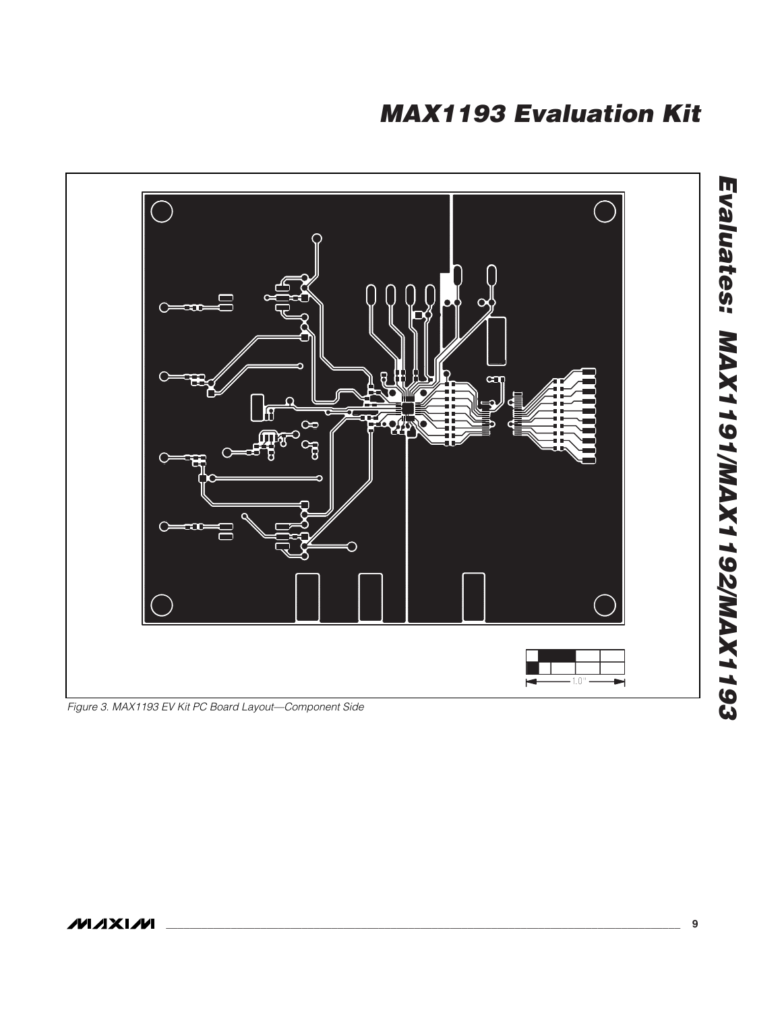

*Figure 3. MAX1193 EV Kit PC Board Layout—Component Side*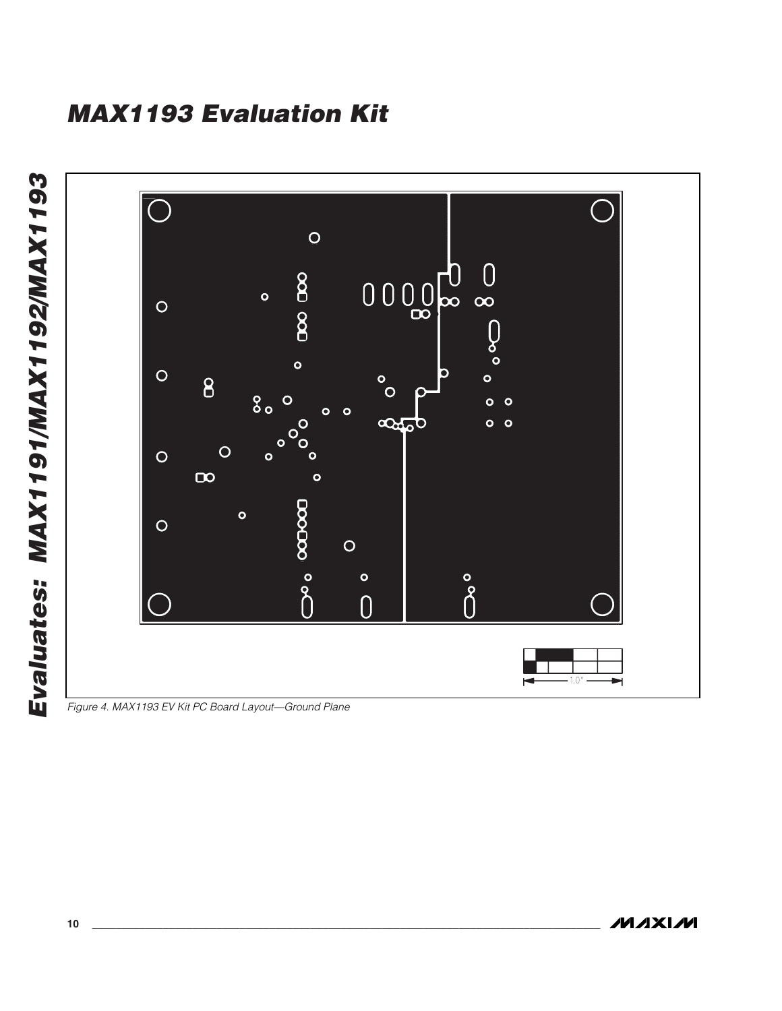

*Figure 4. MAX1193 EV Kit PC Board Layout—Ground Plane*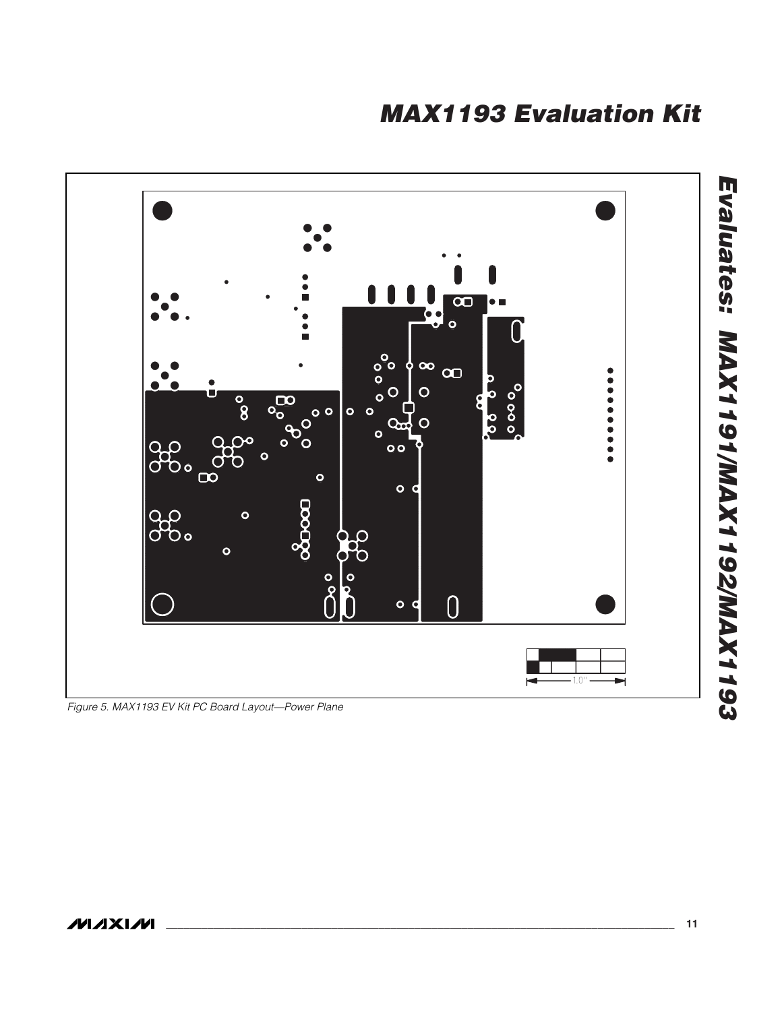

*Figure 5. MAX1193 EV Kit PC Board Layout—Power Plane*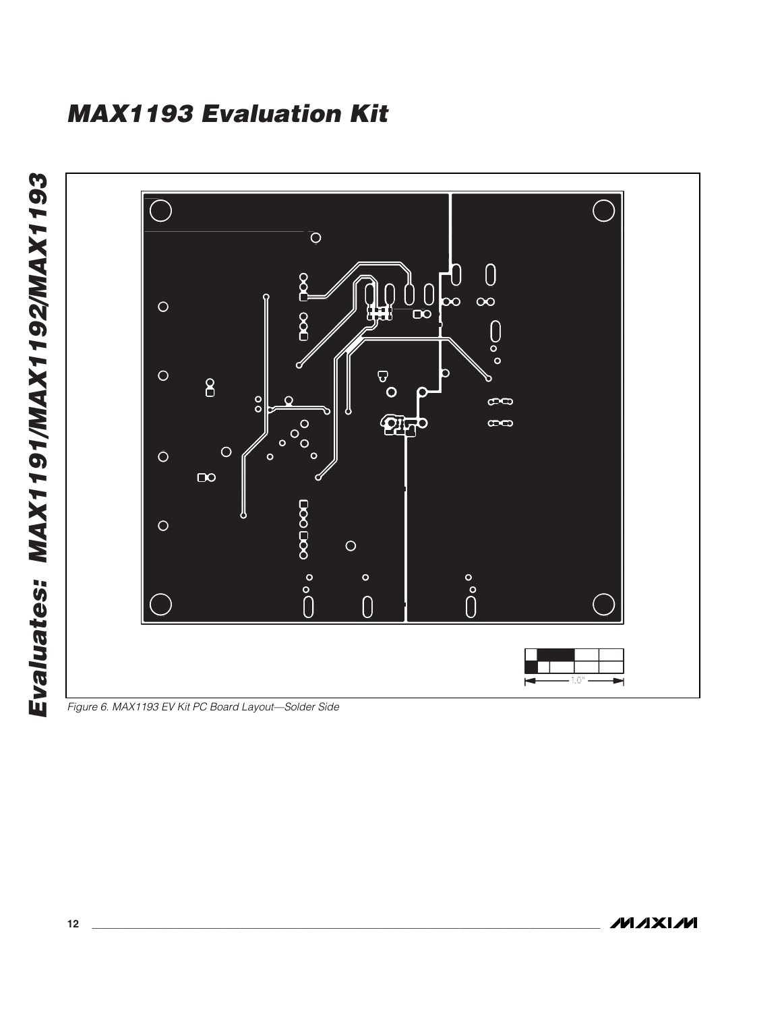